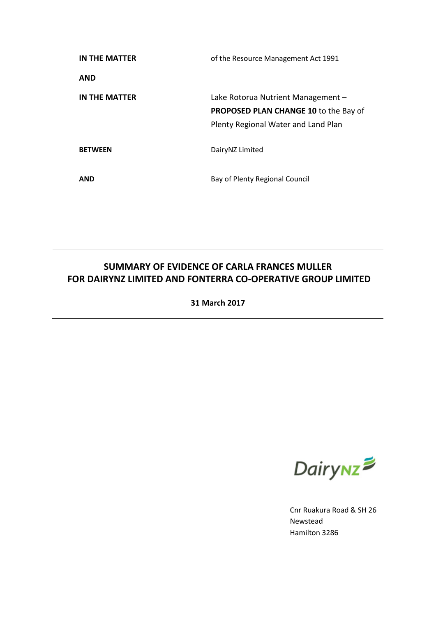| IN THE MATTER  | of the Resource Management Act 1991                                                                                       |
|----------------|---------------------------------------------------------------------------------------------------------------------------|
| <b>AND</b>     |                                                                                                                           |
| IN THE MATTER  | Lake Rotorua Nutrient Management -<br><b>PROPOSED PLAN CHANGE 10 to the Bay of</b><br>Plenty Regional Water and Land Plan |
| <b>BETWEEN</b> | DairyNZ Limited                                                                                                           |
| <b>AND</b>     | Bay of Plenty Regional Council                                                                                            |

# **SUMMARY OF EVIDENCE OF CARLA FRANCES MULLER FOR DAIRYNZ LIMITED AND FONTERRA CO-OPERATIVE GROUP LIMITED**

**31 March 2017**



Cnr Ruakura Road & SH 26 Newstead Hamilton 3286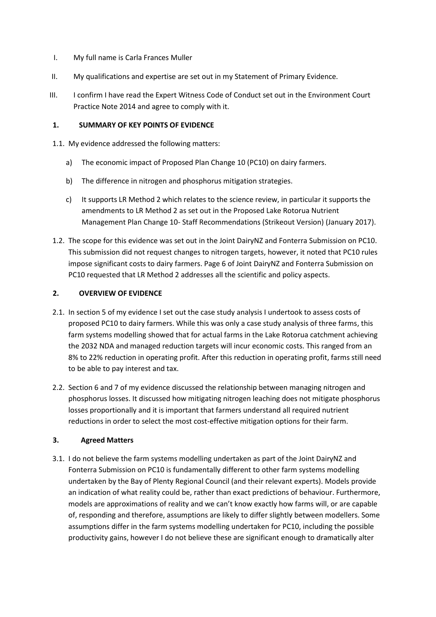- I. My full name is Carla Frances Muller
- II. My qualifications and expertise are set out in my Statement of Primary Evidence.
- III. I confirm I have read the Expert Witness Code of Conduct set out in the Environment Court Practice Note 2014 and agree to comply with it.

### **1. SUMMARY OF KEY POINTS OF EVIDENCE**

- 1.1. My evidence addressed the following matters:
	- a) The economic impact of Proposed Plan Change 10 (PC10) on dairy farmers.
	- b) The difference in nitrogen and phosphorus mitigation strategies.
	- c) It supports LR Method 2 which relates to the science review, in particular it supports the amendments to LR Method 2 as set out in the Proposed Lake Rotorua Nutrient Management Plan Change 10- Staff Recommendations (Strikeout Version) (January 2017).
- 1.2. The scope for this evidence was set out in the Joint DairyNZ and Fonterra Submission on PC10. This submission did not request changes to nitrogen targets, however, it noted that PC10 rules impose significant costs to dairy farmers. Page 6 of Joint DairyNZ and Fonterra Submission on PC10 requested that LR Method 2 addresses all the scientific and policy aspects.

## **2. OVERVIEW OF EVIDENCE**

- 2.1. In section 5 of my evidence I set out the case study analysis I undertook to assess costs of proposed PC10 to dairy farmers. While this was only a case study analysis of three farms, this farm systems modelling showed that for actual farms in the Lake Rotorua catchment achieving the 2032 NDA and managed reduction targets will incur economic costs. This ranged from an 8% to 22% reduction in operating profit. After this reduction in operating profit, farms still need to be able to pay interest and tax.
- 2.2. Section 6 and 7 of my evidence discussed the relationship between managing nitrogen and phosphorus losses. It discussed how mitigating nitrogen leaching does not mitigate phosphorus losses proportionally and it is important that farmers understand all required nutrient reductions in order to select the most cost-effective mitigation options for their farm.

#### **3. Agreed Matters**

3.1. I do not believe the farm systems modelling undertaken as part of the Joint DairyNZ and Fonterra Submission on PC10 is fundamentally different to other farm systems modelling undertaken by the Bay of Plenty Regional Council (and their relevant experts). Models provide an indication of what reality could be, rather than exact predictions of behaviour. Furthermore, models are approximations of reality and we can't know exactly how farms will, or are capable of, responding and therefore, assumptions are likely to differ slightly between modellers. Some assumptions differ in the farm systems modelling undertaken for PC10, including the possible productivity gains, however I do not believe these are significant enough to dramatically alter